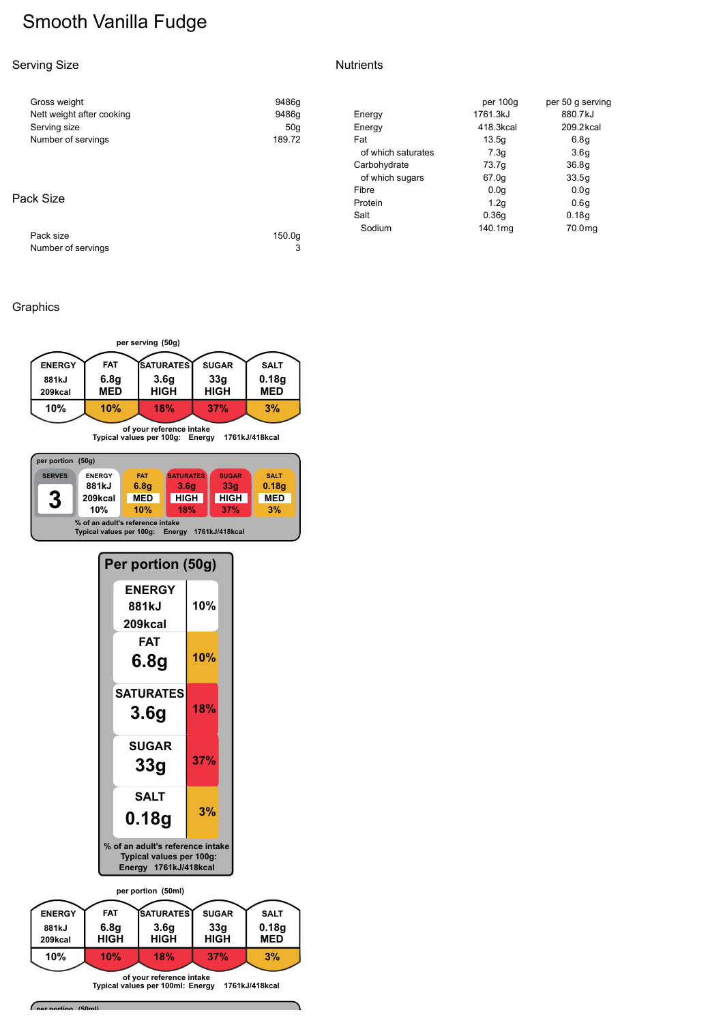# Smooth Vanilla Fudge

#### Serving Size

#### **Nutrients**

| Gross weight              | 9486g  |                    | per 100g         | per 50 g serving   |
|---------------------------|--------|--------------------|------------------|--------------------|
| Nett weight after cooking | 9486q  | Energy             | 1761.3kJ         | 880.7kJ            |
| Serving size              | 50q    | Energy             | 418.3kcal        | 209.2kcal          |
| Number of servings        | 189.72 | Fat                | 13.5q            | 6.8q               |
|                           |        | of which saturates | 7.3q             | 3.6 <sub>q</sub>   |
|                           |        | Carbohydrate       | 73.7g            | 36.8q              |
|                           |        | of which sugars    | 67.0g            | 33.5q              |
|                           |        | Fibre              | 0.0 <sub>q</sub> | 0.0 <sub>q</sub>   |
| Pack Size                 |        | Protein            | 1.2q             | 0.6q               |
|                           |        | Salt               | 0.36q            | 0.18q              |
| Pack size                 | 150.0a | Sodium             | 140.1mg          | 70.0 <sub>mg</sub> |
| Number of servings        | 3      |                    |                  |                    |

#### Graphics



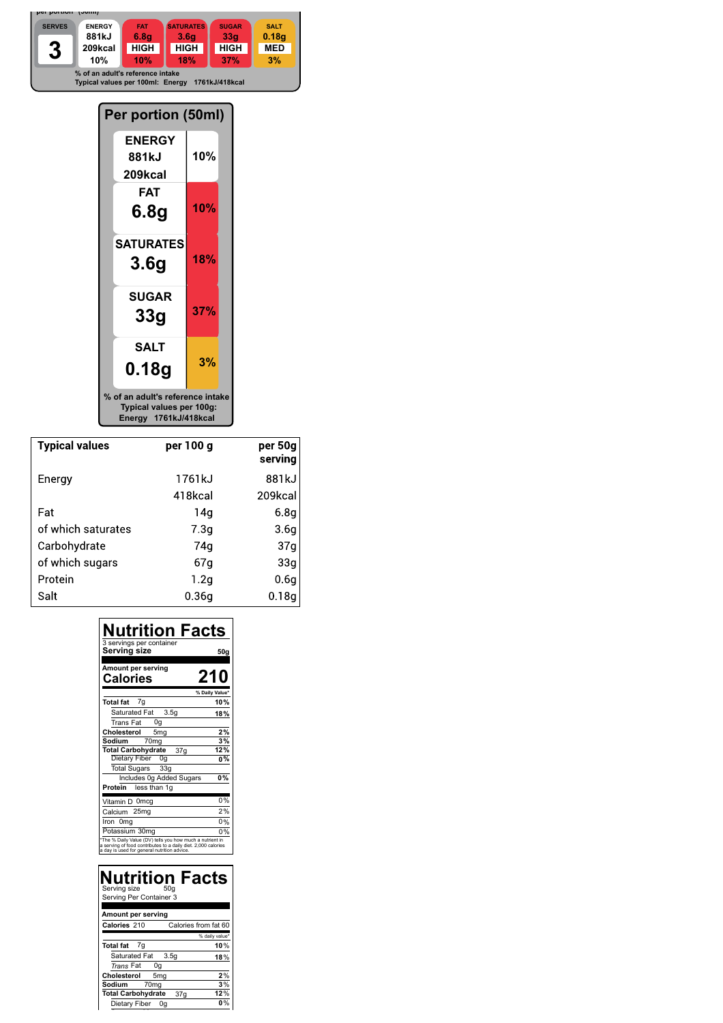

| Per portion (50ml)                                                                    |     |  |  |  |  |
|---------------------------------------------------------------------------------------|-----|--|--|--|--|
| <b>ENERGY</b><br>881kJ<br>209kcal                                                     | 10% |  |  |  |  |
| FAT<br>6.8g                                                                           | 10% |  |  |  |  |
| <b>SATURATES</b><br>3.6g                                                              | 18% |  |  |  |  |
| <b>SUGAR</b><br>33g                                                                   | 37% |  |  |  |  |
| <b>SALT</b><br>0.18g                                                                  | 3%  |  |  |  |  |
| % of an adult's reference intake<br>Typical values per 100g:<br>Energy 1761kJ/418kcal |     |  |  |  |  |

| <b>Typical values</b> | per 100 g        | per 50g<br>serving |
|-----------------------|------------------|--------------------|
| Energy                | 1761kJ           | 881kJ              |
|                       | 418kcal          | 209kcal            |
| Fat                   | 14g              | 6.8q               |
| of which saturates    | 7.3 <sub>q</sub> | 3.6q               |
| Carbohydrate          | 74a              | 37 <sub>g</sub>    |
| of which sugars       | 67g              | 33 <sub>g</sub>    |
| Protein               | 1.2q             | 0.6g               |
| Salt                  | 0.36a            | 0.18q              |

| Nutrition Facts<br>3 servings per container<br>Serving size                                                                                                              | 50g            |
|--------------------------------------------------------------------------------------------------------------------------------------------------------------------------|----------------|
| Amount per serving<br><b>Calories</b>                                                                                                                                    | 210            |
|                                                                                                                                                                          | % Daily Value' |
| Total fat 7g                                                                                                                                                             | 10%            |
| 3.5 <sub>q</sub><br>Saturated Fat                                                                                                                                        | 18%            |
| 0g<br>Trans Fat                                                                                                                                                          |                |
| Cholesterol<br>5 <sub>mg</sub>                                                                                                                                           | 2%             |
| 70 <sub>mg</sub><br>Sodium                                                                                                                                               | 3%             |
| <b>Total Carbohydrate</b><br>37 <sub>g</sub>                                                                                                                             | 12%            |
| Dietary Fiber<br>0g                                                                                                                                                      | 0%             |
| Total Sugars 33g                                                                                                                                                         |                |
| Includes 0g Added Sugars                                                                                                                                                 | 0%             |
| Protein<br>less than 1g                                                                                                                                                  |                |
| Vitamin D 0mcg                                                                                                                                                           | 0%             |
| Calcium 25mg                                                                                                                                                             | 2%             |
| Iron Omg                                                                                                                                                                 | 0%             |
| Potassium 30mg                                                                                                                                                           | 0%             |
| *The % Daily Value (DV) tells you how much a nutrient in<br>a serving of food contributes to a daily diet. 2,000 calories<br>a day is used for general nutrition advice. |                |

| <b>Nutrition Facts</b><br>Serving size<br>50 <sub>q</sub><br>Serving Per Container 3 |                |
|--------------------------------------------------------------------------------------|----------------|
| Amount per serving                                                                   |                |
| Calories from fat 60<br>Calories 210                                                 |                |
|                                                                                      | % daily value* |
| <b>Total fat</b><br>7g                                                               | 10%            |
| Saturated Fat 3.5g                                                                   | 18%            |
| Trans Fat<br>0g                                                                      |                |
| Cholesterol<br>5 <sub>mg</sub>                                                       | 2%             |
| Sodium<br>70 <sub>ma</sub>                                                           | 3%             |
| <b>Total Carbohydrate</b><br>37 <sub>q</sub>                                         | 12%            |
| Dietary Fiber<br>0a                                                                  |                |